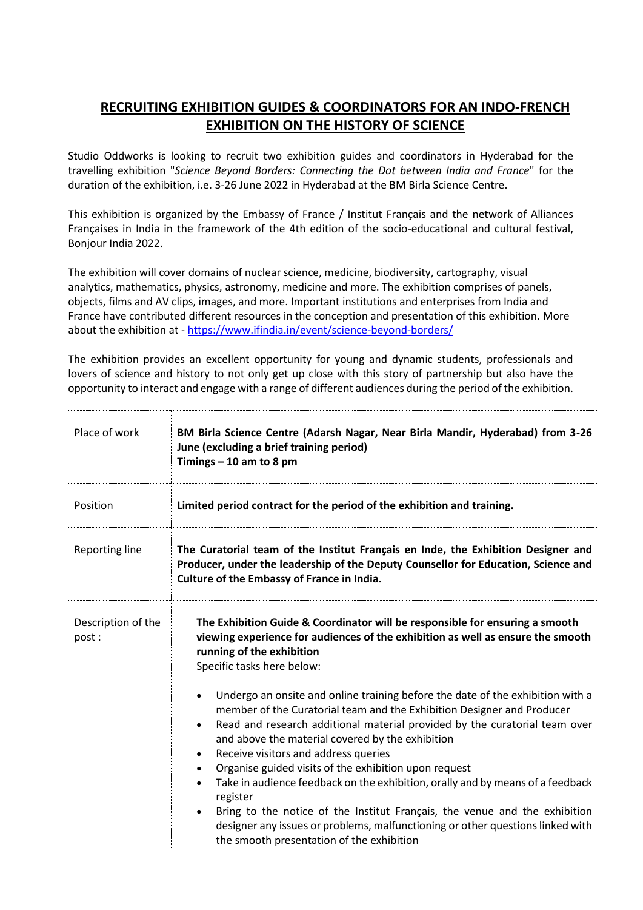## **RECRUITING EXHIBITION GUIDES & COORDINATORS FOR AN INDO-FRENCH EXHIBITION ON THE HISTORY OF SCIENCE**

Studio Oddworks is looking to recruit two exhibition guides and coordinators in Hyderabad for the travelling exhibition "*Science Beyond Borders: Connecting the Dot between India and France*" for the duration of the exhibition, i.e. 3-26 June 2022 in Hyderabad at the BM Birla Science Centre.

This exhibition is organized by the Embassy of France / Institut Français and the network of Alliances Françaises in India in the framework of the 4th edition of the socio-educational and cultural festival, Bonjour India 2022.

The exhibition will cover domains of nuclear science, medicine, biodiversity, cartography, visual analytics, mathematics, physics, astronomy, medicine and more. The exhibition comprises of panels, objects, films and AV clips, images, and more. Important institutions and enterprises from India and France have contributed different resources in the conception and presentation of this exhibition. More about the exhibition at - <https://www.ifindia.in/event/science-beyond-borders/>

The exhibition provides an excellent opportunity for young and dynamic students, professionals and lovers of science and history to not only get up close with this story of partnership but also have the opportunity to interact and engage with a range of different audiences during the period of the exhibition.

| Place of work               | BM Birla Science Centre (Adarsh Nagar, Near Birla Mandir, Hyderabad) from 3-26<br>June (excluding a brief training period)<br>Timings $-10$ am to 8 pm                                                                                                                                                                                                                                                                                                                                                                                                                                                                                                                                                                                                                               |
|-----------------------------|--------------------------------------------------------------------------------------------------------------------------------------------------------------------------------------------------------------------------------------------------------------------------------------------------------------------------------------------------------------------------------------------------------------------------------------------------------------------------------------------------------------------------------------------------------------------------------------------------------------------------------------------------------------------------------------------------------------------------------------------------------------------------------------|
| Position                    | Limited period contract for the period of the exhibition and training.                                                                                                                                                                                                                                                                                                                                                                                                                                                                                                                                                                                                                                                                                                               |
| <b>Reporting line</b>       | The Curatorial team of the Institut Français en Inde, the Exhibition Designer and<br>Producer, under the leadership of the Deputy Counsellor for Education, Science and<br>Culture of the Embassy of France in India.                                                                                                                                                                                                                                                                                                                                                                                                                                                                                                                                                                |
| Description of the<br>post: | The Exhibition Guide & Coordinator will be responsible for ensuring a smooth<br>viewing experience for audiences of the exhibition as well as ensure the smooth<br>running of the exhibition<br>Specific tasks here below:                                                                                                                                                                                                                                                                                                                                                                                                                                                                                                                                                           |
|                             | Undergo an onsite and online training before the date of the exhibition with a<br>$\bullet$<br>member of the Curatorial team and the Exhibition Designer and Producer<br>Read and research additional material provided by the curatorial team over<br>$\bullet$<br>and above the material covered by the exhibition<br>Receive visitors and address queries<br>$\bullet$<br>Organise guided visits of the exhibition upon request<br>$\bullet$<br>Take in audience feedback on the exhibition, orally and by means of a feedback<br>$\bullet$<br>register<br>Bring to the notice of the Institut Français, the venue and the exhibition<br>$\bullet$<br>designer any issues or problems, malfunctioning or other questions linked with<br>the smooth presentation of the exhibition |